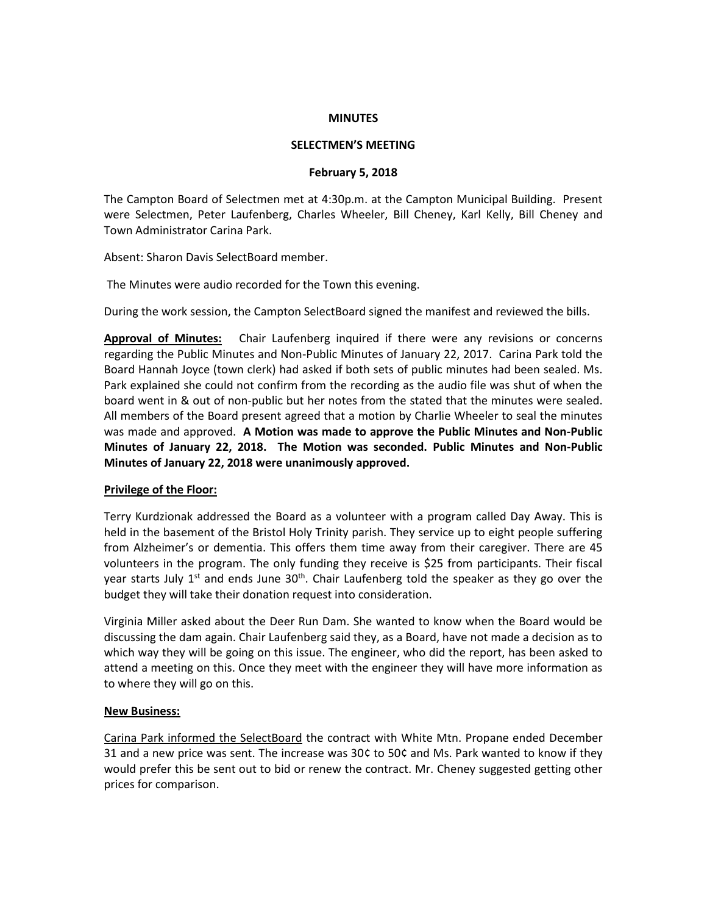#### **MINUTES**

## **SELECTMEN'S MEETING**

#### **February 5, 2018**

The Campton Board of Selectmen met at 4:30p.m. at the Campton Municipal Building. Present were Selectmen, Peter Laufenberg, Charles Wheeler, Bill Cheney, Karl Kelly, Bill Cheney and Town Administrator Carina Park.

Absent: Sharon Davis SelectBoard member.

The Minutes were audio recorded for the Town this evening.

During the work session, the Campton SelectBoard signed the manifest and reviewed the bills.

**Approval of Minutes:** Chair Laufenberg inquired if there were any revisions or concerns regarding the Public Minutes and Non-Public Minutes of January 22, 2017. Carina Park told the Board Hannah Joyce (town clerk) had asked if both sets of public minutes had been sealed. Ms. Park explained she could not confirm from the recording as the audio file was shut of when the board went in & out of non-public but her notes from the stated that the minutes were sealed. All members of the Board present agreed that a motion by Charlie Wheeler to seal the minutes was made and approved. **A Motion was made to approve the Public Minutes and Non-Public Minutes of January 22, 2018. The Motion was seconded. Public Minutes and Non-Public Minutes of January 22, 2018 were unanimously approved.** 

# **Privilege of the Floor:**

Terry Kurdzionak addressed the Board as a volunteer with a program called Day Away. This is held in the basement of the Bristol Holy Trinity parish. They service up to eight people suffering from Alzheimer's or dementia. This offers them time away from their caregiver. There are 45 volunteers in the program. The only funding they receive is \$25 from participants. Their fiscal year starts July 1<sup>st</sup> and ends June 30<sup>th</sup>. Chair Laufenberg told the speaker as they go over the budget they will take their donation request into consideration.

Virginia Miller asked about the Deer Run Dam. She wanted to know when the Board would be discussing the dam again. Chair Laufenberg said they, as a Board, have not made a decision as to which way they will be going on this issue. The engineer, who did the report, has been asked to attend a meeting on this. Once they meet with the engineer they will have more information as to where they will go on this.

## **New Business:**

Carina Park informed the SelectBoard the contract with White Mtn. Propane ended December 31 and a new price was sent. The increase was 30¢ to 50¢ and Ms. Park wanted to know if they would prefer this be sent out to bid or renew the contract. Mr. Cheney suggested getting other prices for comparison.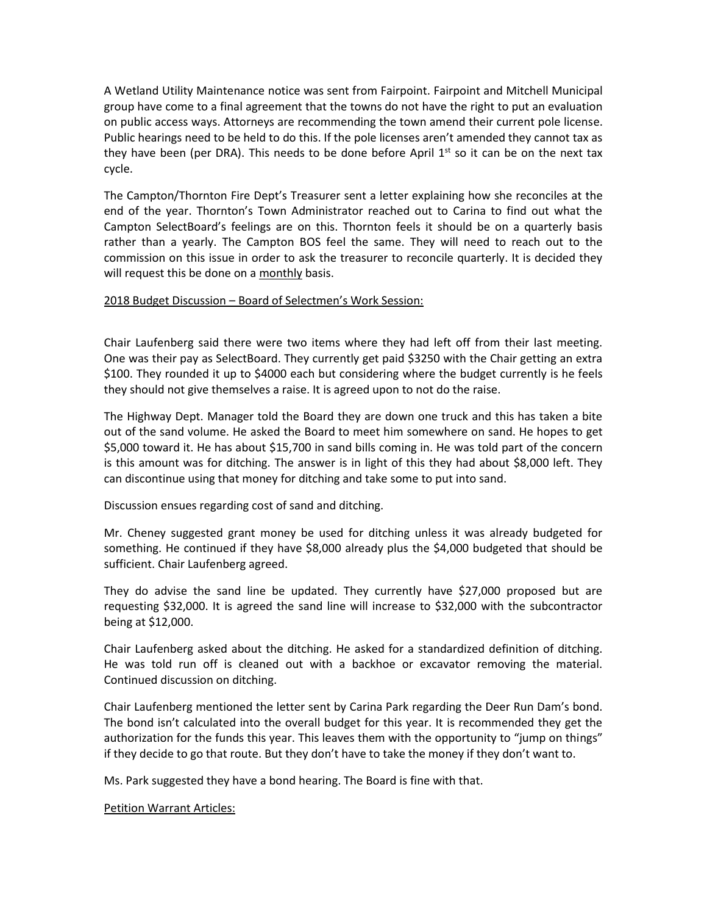A Wetland Utility Maintenance notice was sent from Fairpoint. Fairpoint and Mitchell Municipal group have come to a final agreement that the towns do not have the right to put an evaluation on public access ways. Attorneys are recommending the town amend their current pole license. Public hearings need to be held to do this. If the pole licenses aren't amended they cannot tax as they have been (per DRA). This needs to be done before April  $1^{st}$  so it can be on the next tax cycle.

The Campton/Thornton Fire Dept's Treasurer sent a letter explaining how she reconciles at the end of the year. Thornton's Town Administrator reached out to Carina to find out what the Campton SelectBoard's feelings are on this. Thornton feels it should be on a quarterly basis rather than a yearly. The Campton BOS feel the same. They will need to reach out to the commission on this issue in order to ask the treasurer to reconcile quarterly. It is decided they will request this be done on a monthly basis.

## 2018 Budget Discussion – Board of Selectmen's Work Session:

Chair Laufenberg said there were two items where they had left off from their last meeting. One was their pay as SelectBoard. They currently get paid \$3250 with the Chair getting an extra \$100. They rounded it up to \$4000 each but considering where the budget currently is he feels they should not give themselves a raise. It is agreed upon to not do the raise.

The Highway Dept. Manager told the Board they are down one truck and this has taken a bite out of the sand volume. He asked the Board to meet him somewhere on sand. He hopes to get \$5,000 toward it. He has about \$15,700 in sand bills coming in. He was told part of the concern is this amount was for ditching. The answer is in light of this they had about \$8,000 left. They can discontinue using that money for ditching and take some to put into sand.

Discussion ensues regarding cost of sand and ditching.

Mr. Cheney suggested grant money be used for ditching unless it was already budgeted for something. He continued if they have \$8,000 already plus the \$4,000 budgeted that should be sufficient. Chair Laufenberg agreed.

They do advise the sand line be updated. They currently have \$27,000 proposed but are requesting \$32,000. It is agreed the sand line will increase to \$32,000 with the subcontractor being at \$12,000.

Chair Laufenberg asked about the ditching. He asked for a standardized definition of ditching. He was told run off is cleaned out with a backhoe or excavator removing the material. Continued discussion on ditching.

Chair Laufenberg mentioned the letter sent by Carina Park regarding the Deer Run Dam's bond. The bond isn't calculated into the overall budget for this year. It is recommended they get the authorization for the funds this year. This leaves them with the opportunity to "jump on things" if they decide to go that route. But they don't have to take the money if they don't want to.

Ms. Park suggested they have a bond hearing. The Board is fine with that.

Petition Warrant Articles: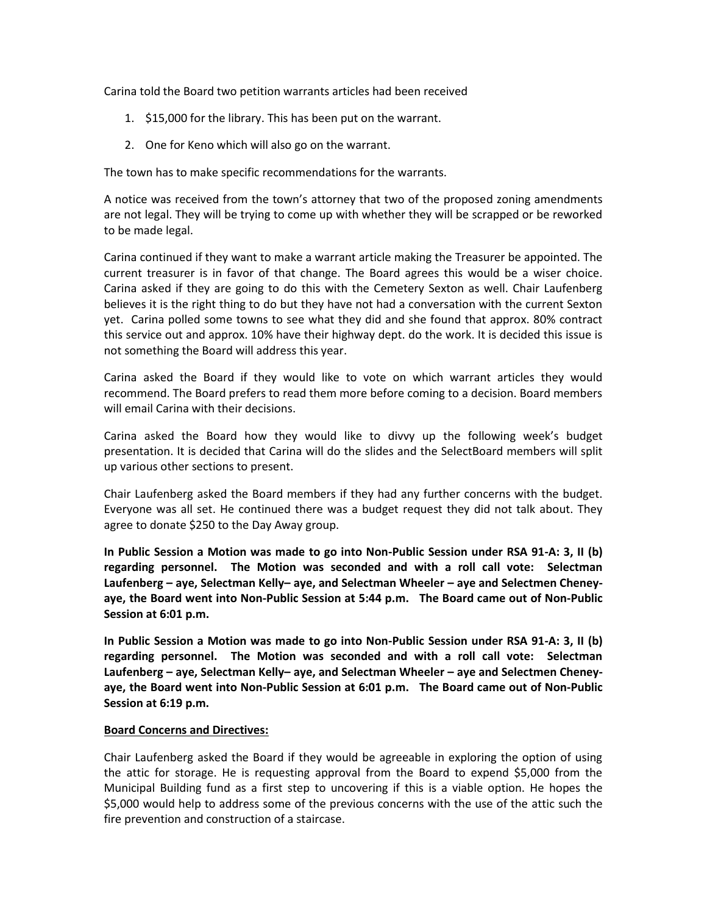Carina told the Board two petition warrants articles had been received

- 1. \$15,000 for the library. This has been put on the warrant.
- 2. One for Keno which will also go on the warrant.

The town has to make specific recommendations for the warrants.

A notice was received from the town's attorney that two of the proposed zoning amendments are not legal. They will be trying to come up with whether they will be scrapped or be reworked to be made legal.

Carina continued if they want to make a warrant article making the Treasurer be appointed. The current treasurer is in favor of that change. The Board agrees this would be a wiser choice. Carina asked if they are going to do this with the Cemetery Sexton as well. Chair Laufenberg believes it is the right thing to do but they have not had a conversation with the current Sexton yet. Carina polled some towns to see what they did and she found that approx. 80% contract this service out and approx. 10% have their highway dept. do the work. It is decided this issue is not something the Board will address this year.

Carina asked the Board if they would like to vote on which warrant articles they would recommend. The Board prefers to read them more before coming to a decision. Board members will email Carina with their decisions.

Carina asked the Board how they would like to divvy up the following week's budget presentation. It is decided that Carina will do the slides and the SelectBoard members will split up various other sections to present.

Chair Laufenberg asked the Board members if they had any further concerns with the budget. Everyone was all set. He continued there was a budget request they did not talk about. They agree to donate \$250 to the Day Away group.

**In Public Session a Motion was made to go into Non-Public Session under RSA 91-A: 3, II (b) regarding personnel. The Motion was seconded and with a roll call vote: Selectman Laufenberg – aye, Selectman Kelly– aye, and Selectman Wheeler – aye and Selectmen Cheneyaye, the Board went into Non-Public Session at 5:44 p.m. The Board came out of Non-Public Session at 6:01 p.m.**

**In Public Session a Motion was made to go into Non-Public Session under RSA 91-A: 3, II (b) regarding personnel. The Motion was seconded and with a roll call vote: Selectman Laufenberg – aye, Selectman Kelly– aye, and Selectman Wheeler – aye and Selectmen Cheneyaye, the Board went into Non-Public Session at 6:01 p.m. The Board came out of Non-Public Session at 6:19 p.m.**

# **Board Concerns and Directives:**

Chair Laufenberg asked the Board if they would be agreeable in exploring the option of using the attic for storage. He is requesting approval from the Board to expend \$5,000 from the Municipal Building fund as a first step to uncovering if this is a viable option. He hopes the \$5,000 would help to address some of the previous concerns with the use of the attic such the fire prevention and construction of a staircase.